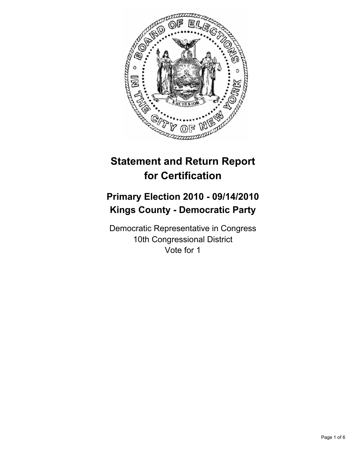

# **Statement and Return Report for Certification**

## **Primary Election 2010 - 09/14/2010 Kings County - Democratic Party**

Democratic Representative in Congress 10th Congressional District Vote for 1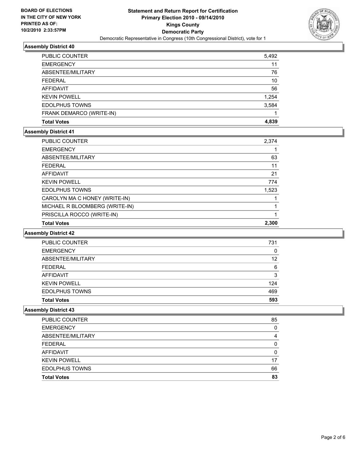

| <b>PUBLIC COUNTER</b>    | 5,492 |
|--------------------------|-------|
| <b>EMERGENCY</b>         | 11    |
| ABSENTEE/MILITARY        | 76    |
| <b>FEDERAL</b>           | 10    |
| AFFIDAVIT                | 56    |
| <b>KEVIN POWELL</b>      | 1,254 |
| <b>EDOLPHUS TOWNS</b>    | 3,584 |
| FRANK DEMARCO (WRITE-IN) |       |
| <b>Total Votes</b>       | 4.839 |

## **Assembly District 41**

| PUBLIC COUNTER                 | 2,374 |
|--------------------------------|-------|
| <b>EMERGENCY</b>               |       |
| ABSENTEE/MILITARY              | 63    |
| <b>FEDERAL</b>                 | 11    |
| <b>AFFIDAVIT</b>               | 21    |
| <b>KEVIN POWELL</b>            | 774   |
| <b>EDOLPHUS TOWNS</b>          | 1,523 |
| CAROLYN MA C HONEY (WRITE-IN)  |       |
| MICHAEL R BLOOMBERG (WRITE-IN) |       |
| PRISCILLA ROCCO (WRITE-IN)     |       |
| <b>Total Votes</b>             | 2.300 |

### **Assembly District 42**

| PUBLIC COUNTER        | 731 |
|-----------------------|-----|
| <b>EMERGENCY</b>      | 0   |
| ABSENTEE/MILITARY     | 12  |
| <b>FEDERAL</b>        | 6   |
| <b>AFFIDAVIT</b>      | 3   |
| <b>KEVIN POWELL</b>   | 124 |
| <b>EDOLPHUS TOWNS</b> | 469 |
| <b>Total Votes</b>    | 593 |

| <b>PUBLIC COUNTER</b> | 85 |
|-----------------------|----|
| <b>EMERGENCY</b>      | 0  |
| ABSENTEE/MILITARY     | 4  |
| <b>FEDERAL</b>        | O  |
| <b>AFFIDAVIT</b>      | O  |
| <b>KEVIN POWELL</b>   | 17 |
| <b>EDOLPHUS TOWNS</b> | 66 |
| <b>Total Votes</b>    | 83 |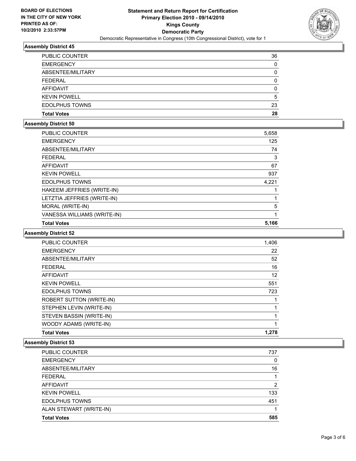

| <b>PUBLIC COUNTER</b> | 36 |
|-----------------------|----|
| <b>EMERGENCY</b>      | 0  |
| ABSENTEE/MILITARY     | 0  |
| <b>FEDERAL</b>        | 0  |
| AFFIDAVIT             | 0  |
| <b>KEVIN POWELL</b>   | 5  |
| <b>EDOLPHUS TOWNS</b> | 23 |
| <b>Total Votes</b>    | 28 |

## **Assembly District 50**

| <b>PUBLIC COUNTER</b>       | 5,658 |
|-----------------------------|-------|
| <b>EMERGENCY</b>            | 125   |
| ABSENTEE/MILITARY           | 74    |
| <b>FEDERAL</b>              | 3     |
| <b>AFFIDAVIT</b>            | 67    |
| <b>KEVIN POWELL</b>         | 937   |
| <b>EDOLPHUS TOWNS</b>       | 4,221 |
| HAKEEM JEFFRIES (WRITE-IN)  |       |
| LETZTIA JEFFRIES (WRITE-IN) |       |
| MORAL (WRITE-IN)            | 5     |
| VANESSA WILLIAMS (WRITE-IN) |       |
| <b>Total Votes</b>          | 5,166 |

### **Assembly District 52**

| <b>PUBLIC COUNTER</b>           | 1,406 |
|---------------------------------|-------|
| <b>EMERGENCY</b>                | 22    |
| ABSENTEE/MILITARY               | 52    |
| <b>FEDERAL</b>                  | 16    |
| <b>AFFIDAVIT</b>                | 12    |
| <b>KEVIN POWELL</b>             | 551   |
| <b>EDOLPHUS TOWNS</b>           | 723   |
| <b>ROBERT SUTTON (WRITE-IN)</b> |       |
| STEPHEN LEVIN (WRITE-IN)        |       |
| STEVEN BASSIN (WRITE-IN)        |       |
| WOODY ADAMS (WRITE-IN)          |       |
| <b>Total Votes</b>              | 1,278 |

| <b>PUBLIC COUNTER</b>   | 737 |
|-------------------------|-----|
| <b>EMERGENCY</b>        | 0   |
| ABSENTEE/MILITARY       | 16  |
| <b>FEDERAL</b>          |     |
| <b>AFFIDAVIT</b>        | 2   |
| <b>KEVIN POWELL</b>     | 133 |
| <b>EDOLPHUS TOWNS</b>   | 451 |
| ALAN STEWART (WRITE-IN) |     |
| <b>Total Votes</b>      | 585 |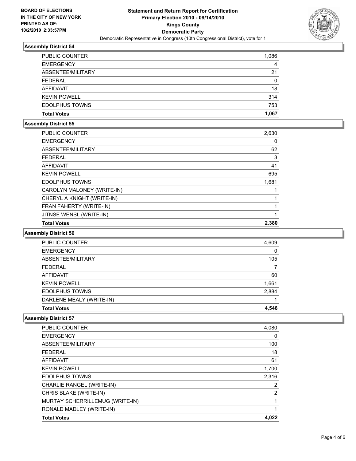

| <b>PUBLIC COUNTER</b> | 1,086 |
|-----------------------|-------|
| <b>EMERGENCY</b>      | 4     |
| ABSENTEE/MILITARY     | 21    |
| FEDERAL               | 0     |
| AFFIDAVIT             | 18    |
| <b>KEVIN POWELL</b>   | 314   |
| <b>EDOLPHUS TOWNS</b> | 753   |
| <b>Total Votes</b>    | 1.067 |

## **Assembly District 55**

| <b>PUBLIC COUNTER</b>      | 2,630 |
|----------------------------|-------|
| <b>EMERGENCY</b>           | 0     |
| ABSENTEE/MILITARY          | 62    |
| <b>FEDERAL</b>             | 3     |
| <b>AFFIDAVIT</b>           | 41    |
| <b>KEVIN POWELL</b>        | 695   |
| <b>EDOLPHUS TOWNS</b>      | 1,681 |
| CAROLYN MALONEY (WRITE-IN) |       |
| CHERYL A KNIGHT (WRITE-IN) |       |
| FRAN FAHERTY (WRITE-IN)    |       |
| JITNSE WENSL (WRITE-IN)    |       |
| <b>Total Votes</b>         | 2.380 |

### **Assembly District 56**

| <b>Total Votes</b>       | 4.546 |
|--------------------------|-------|
| DARLENE MEALY (WRITE-IN) |       |
| <b>EDOLPHUS TOWNS</b>    | 2,884 |
| <b>KEVIN POWELL</b>      | 1,661 |
| AFFIDAVIT                | 60    |
| FEDERAL                  |       |
| ABSENTEE/MILITARY        | 105   |
| <b>EMERGENCY</b>         | 0     |
| <b>PUBLIC COUNTER</b>    | 4,609 |

| <b>Total Votes</b>              | 4.022          |
|---------------------------------|----------------|
| RONALD MADLEY (WRITE-IN)        |                |
| MURTAY SCHERRILLEMUG (WRITE-IN) | 1              |
| CHRIS BLAKE (WRITE-IN)          | 2              |
| CHARLIE RANGEL (WRITE-IN)       | $\overline{2}$ |
| <b>EDOLPHUS TOWNS</b>           | 2,316          |
| <b>KEVIN POWELL</b>             | 1,700          |
| AFFIDAVIT                       | 61             |
| <b>FEDERAL</b>                  | 18             |
| ABSENTEE/MILITARY               | 100            |
| <b>EMERGENCY</b>                | 0              |
| <b>PUBLIC COUNTER</b>           | 4,080          |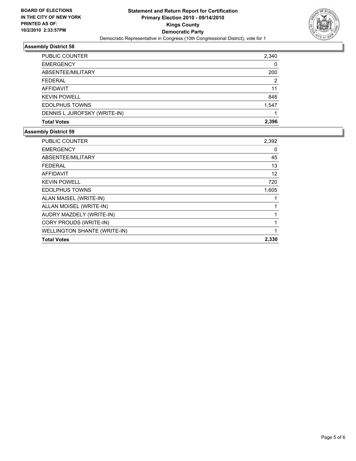

| PUBLIC COUNTER               | 2,340 |
|------------------------------|-------|
| <b>EMERGENCY</b>             | 0     |
| ABSENTEE/MILITARY            | 200   |
| <b>FEDERAL</b>               | 2     |
| AFFIDAVIT                    | 11    |
| <b>KEVIN POWELL</b>          | 848   |
| <b>EDOLPHUS TOWNS</b>        | 1,547 |
| DENNIS L JUROFSKY (WRITE-IN) |       |
| <b>Total Votes</b>           | 2.396 |

| <b>PUBLIC COUNTER</b>               | 2,392 |
|-------------------------------------|-------|
| <b>EMERGENCY</b>                    | 0     |
| ABSENTEE/MILITARY                   | 45    |
| <b>FEDERAL</b>                      | 13    |
| <b>AFFIDAVIT</b>                    | 12    |
| <b>KEVIN POWELL</b>                 | 720   |
| <b>EDOLPHUS TOWNS</b>               | 1,605 |
| ALAN MAISEL (WRITE-IN)              | 1     |
| ALLAN MOISEL (WRITE-IN)             | 1     |
| AUDRY MAZDELY (WRITE-IN)            | 1     |
| CORY PROUDS (WRITE-IN)              | 1     |
| <b>WELLINGTON SHANTE (WRITE-IN)</b> |       |
| <b>Total Votes</b>                  | 2,330 |